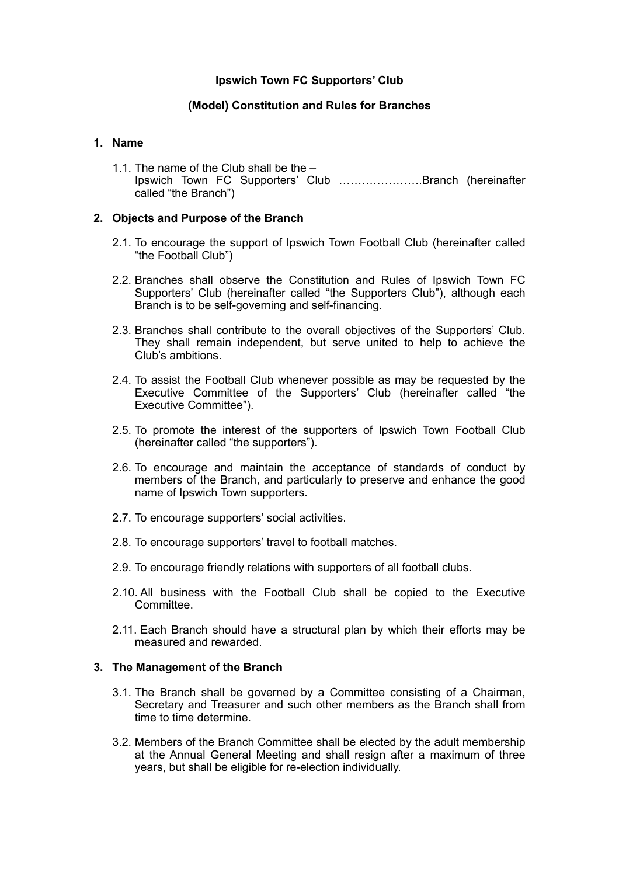# **Ipswich Town FC Supporters' Club**

# **(Model) Constitution and Rules for Branches**

## **1. Name**

1.1. The name of the Club shall be the – Ipswich Town FC Supporters' Club ………………….Branch (hereinafter called "the Branch")

## **2. Objects and Purpose of the Branch**

- 2.1. To encourage the support of Ipswich Town Football Club (hereinafter called "the Football Club")
- 2.2. Branches shall observe the Constitution and Rules of Ipswich Town FC Supporters' Club (hereinafter called "the Supporters Club"), although each Branch is to be self-governing and self-financing.
- 2.3. Branches shall contribute to the overall objectives of the Supporters' Club. They shall remain independent, but serve united to help to achieve the Club's ambitions.
- 2.4. To assist the Football Club whenever possible as may be requested by the Executive Committee of the Supporters' Club (hereinafter called "the Executive Committee").
- 2.5. To promote the interest of the supporters of Ipswich Town Football Club (hereinafter called "the supporters").
- 2.6. To encourage and maintain the acceptance of standards of conduct by members of the Branch, and particularly to preserve and enhance the good name of Ipswich Town supporters.
- 2.7. To encourage supporters' social activities.
- 2.8. To encourage supporters' travel to football matches.
- 2.9. To encourage friendly relations with supporters of all football clubs.
- 2.10. All business with the Football Club shall be copied to the Executive Committee.
- 2.11. Each Branch should have a structural plan by which their efforts may be measured and rewarded.

#### **3. The Management of the Branch**

- 3.1. The Branch shall be governed by a Committee consisting of a Chairman, Secretary and Treasurer and such other members as the Branch shall from time to time determine.
- 3.2. Members of the Branch Committee shall be elected by the adult membership at the Annual General Meeting and shall resign after a maximum of three years, but shall be eligible for re-election individually.